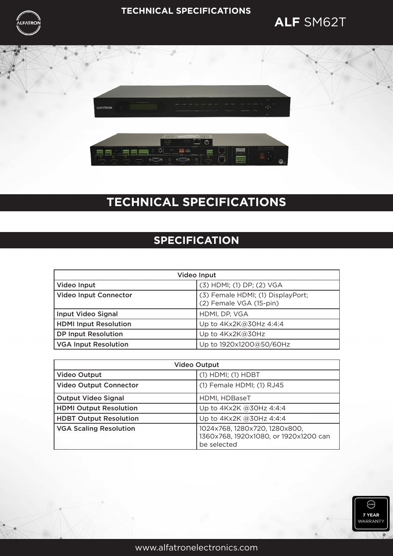

### **TECHNICAL SPECIFICATIONS**

## **ALF** SM62T



# **TECHNICAL SPECIFICATIONS**

## **SPECIFICATION**

| Video Input                  |                                                              |
|------------------------------|--------------------------------------------------------------|
| Video Input                  | (3) HDMI; (1) DP; (2) VGA                                    |
| <b>Video Input Connector</b> | (3) Female HDMI; (1) DisplayPort;<br>(2) Female VGA (15-pin) |
| Input Video Signal           | HDMI, DP, VGA                                                |
| <b>HDMI Input Resolution</b> | Up to 4Kx2K@30Hz 4:4:4                                       |
| <b>DP Input Resolution</b>   | Up to 4Kx2K@30Hz                                             |
| <b>VGA Input Resolution</b>  | Up to 1920x1200@50/60Hz                                      |

| <b>Video Output</b>           |                                                                                       |
|-------------------------------|---------------------------------------------------------------------------------------|
| <b>Video Output</b>           | $(1)$ HDMI; $(1)$ HDBT                                                                |
| <b>Video Output Connector</b> | (1) Female HDMI; (1) RJ45                                                             |
| <b>Output Video Signal</b>    | HDMI, HDBaseT                                                                         |
| <b>HDMI Output Resolution</b> | Up to $4Kx2K$ @30Hz $4:4:4$                                                           |
| <b>HDBT Output Resolution</b> | Up to 4Kx2K @30Hz 4:4:4                                                               |
| <b>VGA Scaling Resolution</b> | 1024x768, 1280x720, 1280x800,<br>1360x768, 1920x1080, or 1920x1200 can<br>be selected |

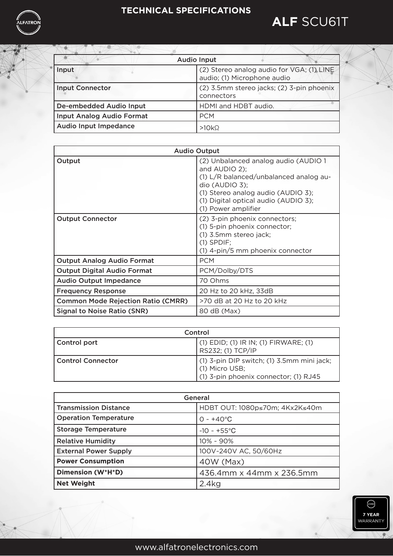### **TECHNICAL SPECIFICATIONS**



| <b>Audio Input</b>               |                                                                          |
|----------------------------------|--------------------------------------------------------------------------|
| Input                            | (2) Stereo analog audio for VGA; (1) LINE<br>audio; (1) Microphone audio |
| <b>Input Connector</b>           | (2) 3.5mm stereo jacks; (2) 3-pin phoenix<br>connectors                  |
| De-embedded Audio Input          | HDMI and HDBT audio.                                                     |
| <b>Input Analog Audio Format</b> | <b>PCM</b>                                                               |
| Audio Input Impedance            | $>10k\Omega$                                                             |

| <b>Audio Output</b>                       |                                                                                                                                                                                                                          |
|-------------------------------------------|--------------------------------------------------------------------------------------------------------------------------------------------------------------------------------------------------------------------------|
| Output                                    | (2) Unbalanced analog audio (AUDIO 1<br>and AUDIO 2);<br>(1) L/R balanced/unbalanced analog au-<br>$dio$ (AUDIO 3);<br>(1) Stereo analog audio (AUDIO 3);<br>(1) Digital optical audio (AUDIO 3);<br>(1) Power amplifier |
| <b>Output Connector</b>                   | (2) 3-pin phoenix connectors;<br>(1) 5-pin phoenix connector;<br>(1) 3.5mm stereo jack;<br>$(1)$ SPDIF;<br>(1) 4-pin/5 mm phoenix connector                                                                              |
| <b>Output Analog Audio Format</b>         | <b>PCM</b>                                                                                                                                                                                                               |
| <b>Output Digital Audio Format</b>        | PCM/Dolby/DTS                                                                                                                                                                                                            |
| <b>Audio Output Impedance</b>             | 70 Ohms                                                                                                                                                                                                                  |
| <b>Frequency Response</b>                 | 20 Hz to 20 kHz, 33dB                                                                                                                                                                                                    |
| <b>Common Mode Rejection Ratio (CMRR)</b> | >70 dB at 20 Hz to 20 kHz                                                                                                                                                                                                |
| <b>Signal to Noise Ratio (SNR)</b>        | 80 dB (Max)                                                                                                                                                                                                              |

| Control             |                                                                                                         |
|---------------------|---------------------------------------------------------------------------------------------------------|
| Control port        | (1) EDID; (1) IR IN; (1) FIRWARE; (1)<br>RS232; (1) TCP/IP                                              |
| l Control Connector | $(1)$ 3-pin DIP switch; (1) 3.5mm mini jack;<br>(1) Micro USB;<br>(1) 3-pin phoenix connector; (1) RJ45 |

| General                      |                                |
|------------------------------|--------------------------------|
| <b>Transmission Distance</b> | HDBT OUT: 1080p≤70m; 4Kx2K≤40m |
| <b>Operation Temperature</b> | $0 - +40$ °C                   |
| <b>Storage Temperature</b>   | $-10 - +55$ °C                 |
| <b>Relative Humidity</b>     | $10\% - 90\%$                  |
| <b>External Power Supply</b> | 100V~240V AC, 50/60Hz          |
| <b>Power Consumption</b>     | 40W (Max)                      |
| Dimension (W*H*D)            | 436.4mm x 44mm x 236.5mm       |
| <b>Net Weight</b>            | 2.4kg                          |